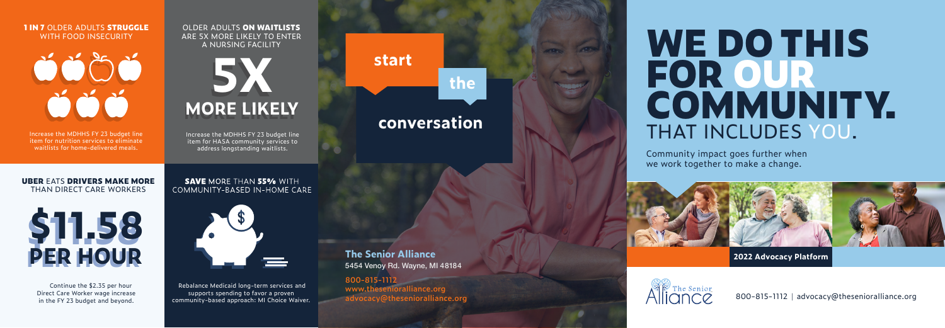# **WE DO THIS FOR OU R COMMUNITY.**  THAT INCLUDES YOU.

800-815-1112 | advocacy@thesenioralliance.org

Community impact goes further when we work together to make a change.







#### **1 IN 7** OLDER ADULTS **STRUGGLE** WITH FOOD INSECURITY



#### OLDER ADULTS **ON WAITLISTS** ARE 5X MORE LIKELY TO ENTER A NURSING FACILITY

#### **UBER** EATS **DRIVERS MAKE MORE** THAN DIRECT CARE WORKERS



Continue the \$2.35 per hour Direct Care Worker wage increase in the FY 23 budget and beyond.

#### **SAVE MORE THAN 55% WITH** COMMUNITY-BASED IN-HOME CARE



Increase the MDHHS FY 23 budget line item for nutrition services to eliminate waitlists for home-delivered meals.

> Rebalance Medicaid long-term services and supports spending to favor a proven community-based approach: MI Choice Waiver.

Increase the MDHHS FY 23 budget line item for HASA community services to address longstanding waitlists.

> **800-815-1112 www.thesenioralliance.org advocacy@thesenioralliance.org**

**The Senior Alliance** 5454 Venoy Rd. Wayne, MI 48184

## **start**

# **the**

## **conversation**



**2022 Advocacy Platform**